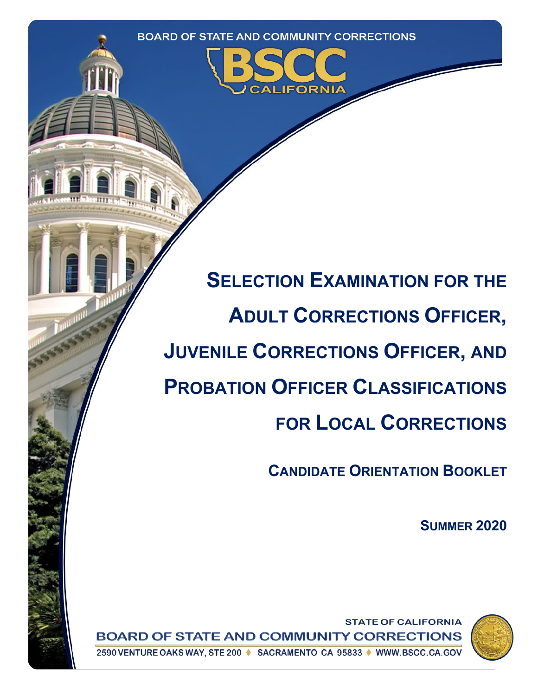

**SELECTION EXAMINATION FOR THE ADULT CORRECTIONS OFFICER, JUVENILE CORRECTIONS OFFICER, AND PROBATION OFFICER CLASSIFICATIONS FOR LOCAL CORRECTIONS**

**CANDIDATE ORIENTATION BOOKLET**

**SUMMER 2020**



**STATE OF CALIFORNIA BOARD OF STATE AND COMMUNITY CORRECTIONS** 

2590 VENTURE OAKS WAY, STE 200 ♦ SACRAMENTO CA 95833 ♦ WWW.BSCC.CA.GOV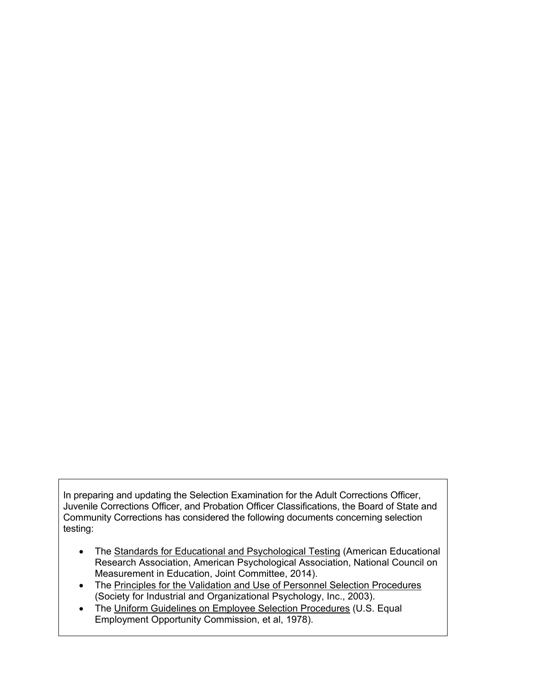In preparing and updating the Selection Examination for the Adult Corrections Officer, Juvenile Corrections Officer, and Probation Officer Classifications, the Board of State and Community Corrections has considered the following documents concerning selection testing:

- The Standards for Educational and Psychological Testing (American Educational Research Association, American Psychological Association, National Council on Measurement in Education, Joint Committee, 2014).
- The Principles for the Validation and Use of Personnel Selection Procedures (Society for Industrial and Organizational Psychology, Inc., 2003).
- The Uniform Guidelines on Employee Selection Procedures (U.S. Equal Employment Opportunity Commission, et al, 1978).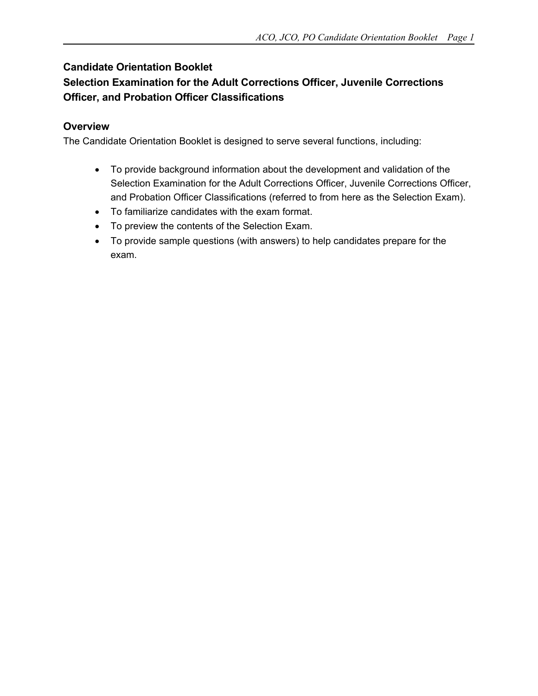## **Candidate Orientation Booklet**

# **Selection Examination for the Adult Corrections Officer, Juvenile Corrections Officer, and Probation Officer Classifications**

## **Overview**

The Candidate Orientation Booklet is designed to serve several functions, including:

- To provide background information about the development and validation of the Selection Examination for the Adult Corrections Officer, Juvenile Corrections Officer, and Probation Officer Classifications (referred to from here as the Selection Exam).
- To familiarize candidates with the exam format.
- To preview the contents of the Selection Exam.
- To provide sample questions (with answers) to help candidates prepare for the exam.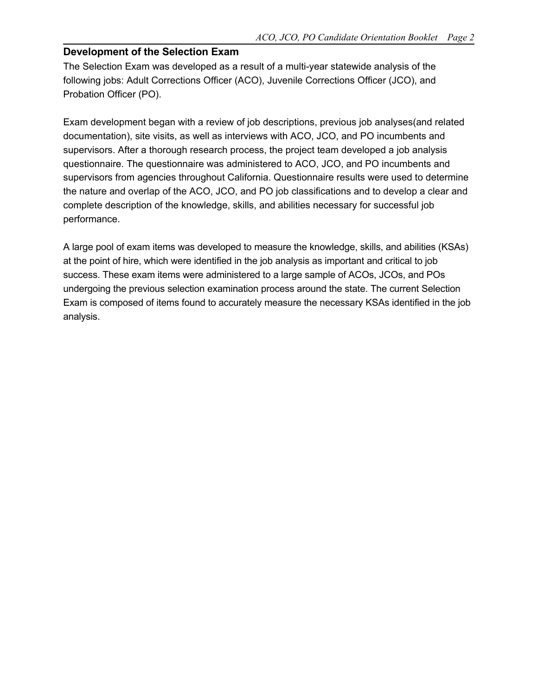### **Development of the Selection Exam**

The Selection Exam was developed as a result of a multi-year statewide analysis of the following jobs: Adult Corrections Officer (ACO), Juvenile Corrections Officer (JCO), and Probation Officer (PO).

Exam development began with a review of job descriptions, previous job analyses(and related documentation), site visits, as well as interviews with ACO, JCO, and PO incumbents and supervisors. After a thorough research process, the project team developed a job analysis questionnaire. The questionnaire was administered to ACO, JCO, and PO incumbents and supervisors from agencies throughout California. Questionnaire results were used to determine the nature and overlap of the ACO, JCO, and PO job classifications and to develop a clear and complete description of the knowledge, skills, and abilities necessary for successful job performance.

A large pool of exam items was developed to measure the knowledge, skills, and abilities (KSAs) at the point of hire, which were identified in the job analysis as important and critical to job success. These exam items were administered to a large sample of ACOs, JCOs, and POs undergoing the previous selection examination process around the state. The current Selection Exam is composed of items found to accurately measure the necessary KSAs identified in the job analysis.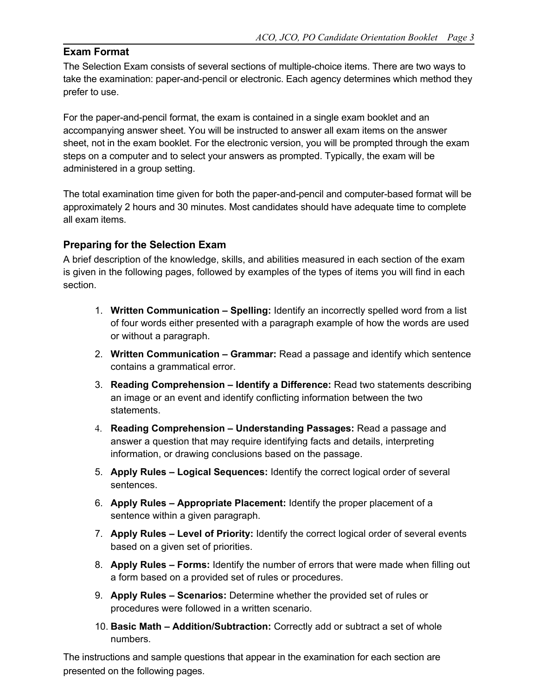## **Exam Format**

The Selection Exam consists of several sections of multiple-choice items. There are two ways to take the examination: paper-and-pencil or electronic. Each agency determines which method they prefer to use.

For the paper-and-pencil format, the exam is contained in a single exam booklet and an accompanying answer sheet. You will be instructed to answer all exam items on the answer sheet, not in the exam booklet. For the electronic version, you will be prompted through the exam steps on a computer and to select your answers as prompted. Typically, the exam will be administered in a group setting.

The total examination time given for both the paper-and-pencil and computer-based format will be approximately 2 hours and 30 minutes. Most candidates should have adequate time to complete all exam items.

## **Preparing for the Selection Exam**

A brief description of the knowledge, skills, and abilities measured in each section of the exam is given in the following pages, followed by examples of the types of items you will find in each section.

- 1. **Written Communication – Spelling:** Identify an incorrectly spelled word from a list of four words either presented with a paragraph example of how the words are used or without a paragraph.
- 2. **Written Communication – Grammar:** Read a passage and identify which sentence contains a grammatical error.
- 3. **Reading Comprehension – Identify a Difference:** Read two statements describing an image or an event and identify conflicting information between the two statements.
- 4. **Reading Comprehension – Understanding Passages:** Read a passage and answer a question that may require identifying facts and details, interpreting information, or drawing conclusions based on the passage.
- 5. **Apply Rules – Logical Sequences:** Identify the correct logical order of several sentences.
- 6. **Apply Rules – Appropriate Placement:** Identify the proper placement of a sentence within a given paragraph.
- 7. **Apply Rules – Level of Priority:** Identify the correct logical order of several events based on a given set of priorities.
- 8. **Apply Rules – Forms:** Identify the number of errors that were made when filling out a form based on a provided set of rules or procedures.
- 9. **Apply Rules – Scenarios:** Determine whether the provided set of rules or procedures were followed in a written scenario.
- 10. **Basic Math – Addition/Subtraction:** Correctly add or subtract a set of whole numbers.

The instructions and sample questions that appear in the examination for each section are presented on the following pages.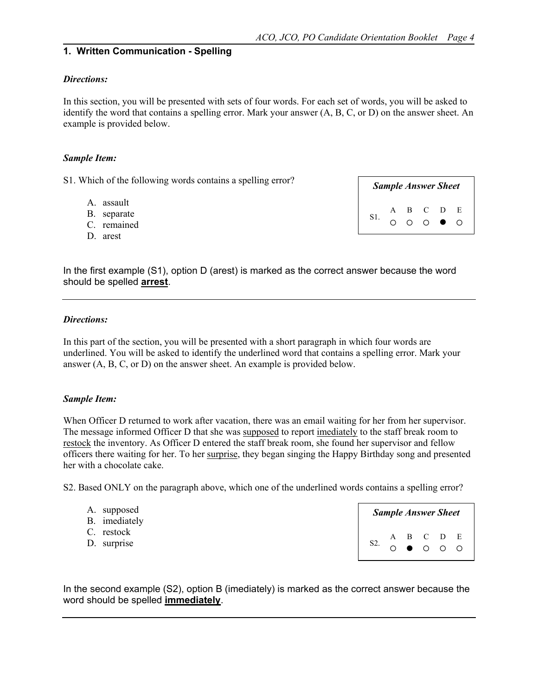#### **1. Written Communication - Spelling**

#### *Directions:*

In this section, you will be presented with sets of four words. For each set of words, you will be asked to identify the word that contains a spelling error. Mark your answer (A, B, C, or D) on the answer sheet. An example is provided below.

#### *Sample Item:*

S1. Which of the following words contains a spelling error?

- A. assault
- B. separate
- C. remained
- D. arest

*Sample Answer Sheet* S1. A B C D E  $0\circ 0\circ 0$ 

In the first example (S1), option D (arest) is marked as the correct answer because the word should be spelled **arrest**.

### *Directions:*

In this part of the section, you will be presented with a short paragraph in which four words are underlined. You will be asked to identify the underlined word that contains a spelling error. Mark your answer (A, B, C, or D) on the answer sheet. An example is provided below.

#### *Sample Item:*

When Officer D returned to work after vacation, there was an email waiting for her from her supervisor. The message informed Officer D that she was supposed to report imediately to the staff break room to restock the inventory. As Officer D entered the staff break room, she found her supervisor and fellow officers there waiting for her. To her surprise, they began singing the Happy Birthday song and presented her with a chocolate cake.

S2. Based ONLY on the paragraph above, which one of the underlined words contains a spelling error?

| A. supposed<br>B. imediately |                                      |  | <b>Sample Answer Sheet</b> |  |
|------------------------------|--------------------------------------|--|----------------------------|--|
| C. restock<br>D. surprise    | S2. A B C D E<br>O $\bullet$ O O O O |  |                            |  |

In the second example (S2), option B (imediately) is marked as the correct answer because the word should be spelled **immediately**.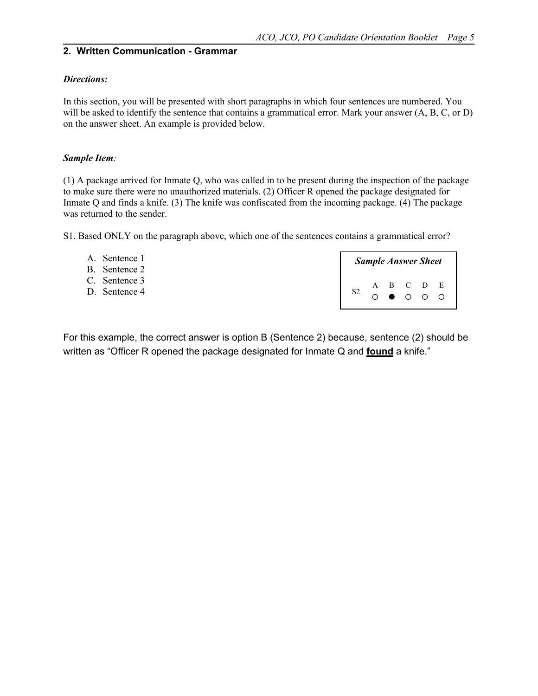## **2. Written Communication - Grammar**

#### *Directions:*

In this section, you will be presented with short paragraphs in which four sentences are numbered. You will be asked to identify the sentence that contains a grammatical error. Mark your answer  $(A, B, C, or D)$ on the answer sheet. An example is provided below.

#### *Sample Item:*

(1) A package arrived for Inmate Q, who was called in to be present during the inspection of the package to make sure there were no unauthorized materials. (2) Officer R opened the package designated for Inmate Q and finds a knife. (3) The knife was confiscated from the incoming package. (4) The package was returned to the sender.

S1. Based ONLY on the paragraph above, which one of the sentences contains a grammatical error?

| A. Sentence 1<br>B. Sentence 2 |  | <b>Sample Answer Sheet</b> |  |
|--------------------------------|--|----------------------------|--|
| C. Sentence 3                  |  | $A$ B C D E                |  |
| D. Sentence 4                  |  | $O$ $O$ $O$ $O$ $O$        |  |

For this example, the correct answer is option B (Sentence 2) because, sentence (2) should be written as "Officer R opened the package designated for Inmate Q and **found** a knife."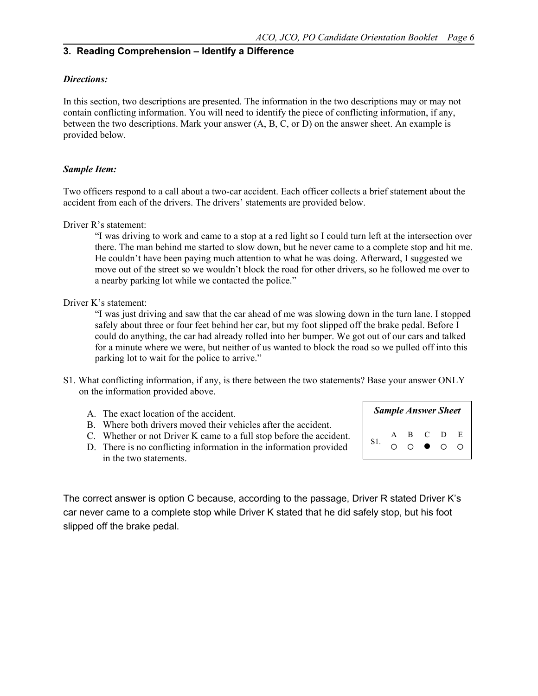### **3. Reading Comprehension – Identify a Difference**

#### *Directions:*

In this section, two descriptions are presented. The information in the two descriptions may or may not contain conflicting information. You will need to identify the piece of conflicting information, if any, between the two descriptions. Mark your answer (A, B, C, or D) on the answer sheet. An example is provided below.

#### *Sample Item:*

Two officers respond to a call about a two-car accident. Each officer collects a brief statement about the accident from each of the drivers. The drivers' statements are provided below.

Driver R's statement:

"I was driving to work and came to a stop at a red light so I could turn left at the intersection over there. The man behind me started to slow down, but he never came to a complete stop and hit me. He couldn't have been paying much attention to what he was doing. Afterward, I suggested we move out of the street so we wouldn't block the road for other drivers, so he followed me over to a nearby parking lot while we contacted the police."

Driver K's statement:

"I was just driving and saw that the car ahead of me was slowing down in the turn lane. I stopped safely about three or four feet behind her car, but my foot slipped off the brake pedal. Before I could do anything, the car had already rolled into her bumper. We got out of our cars and talked for a minute where we were, but neither of us wanted to block the road so we pulled off into this parking lot to wait for the police to arrive."

- S1. What conflicting information, if any, is there between the two statements? Base your answer ONLY on the information provided above.
	- A. The exact location of the accident.
	- B. Where both drivers moved their vehicles after the accident.
	- C. Whether or not Driver K came to a full stop before the accident.
	- D. There is no conflicting information in the information provided in the two statements.

*Sample Answer Sheet* S1. A B C D E  $O$   $O$   $O$   $O$   $O$ 

The correct answer is option C because, according to the passage, Driver R stated Driver K's car never came to a complete stop while Driver K stated that he did safely stop, but his foot slipped off the brake pedal.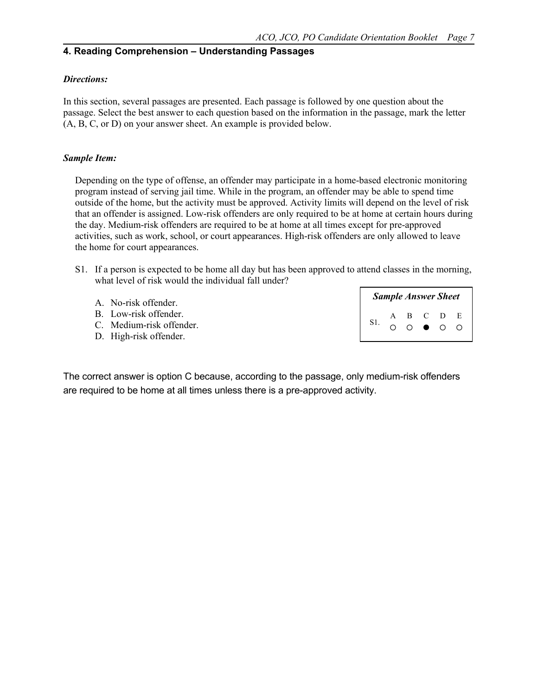## **4. Reading Comprehension – Understanding Passages**

#### *Directions:*

In this section, several passages are presented. Each passage is followed by one question about the passage. Select the best answer to each question based on the information in the passage, mark the letter (A, B, C, or D) on your answer sheet. An example is provided below.

#### *Sample Item:*

Depending on the type of offense, an offender may participate in a home-based electronic monitoring program instead of serving jail time. While in the program, an offender may be able to spend time outside of the home, but the activity must be approved. Activity limits will depend on the level of risk that an offender is assigned. Low-risk offenders are only required to be at home at certain hours during the day. Medium-risk offenders are required to be at home at all times except for pre-approved activities, such as work, school, or court appearances. High-risk offenders are only allowed to leave the home for court appearances.

S1. If a person is expected to be home all day but has been approved to attend classes in the morning, what level of risk would the individual fall under?

| A. No-risk offender.                                                        |  |  | <b>Sample Answer Sheet</b> |  |
|-----------------------------------------------------------------------------|--|--|----------------------------|--|
| B. Low-risk offender.<br>C. Medium-risk offender.<br>D. High-risk offender. |  |  | A B C D E<br>○ ○ ● ○ ○     |  |
|                                                                             |  |  |                            |  |

The correct answer is option C because, according to the passage, only medium-risk offenders are required to be home at all times unless there is a pre-approved activity.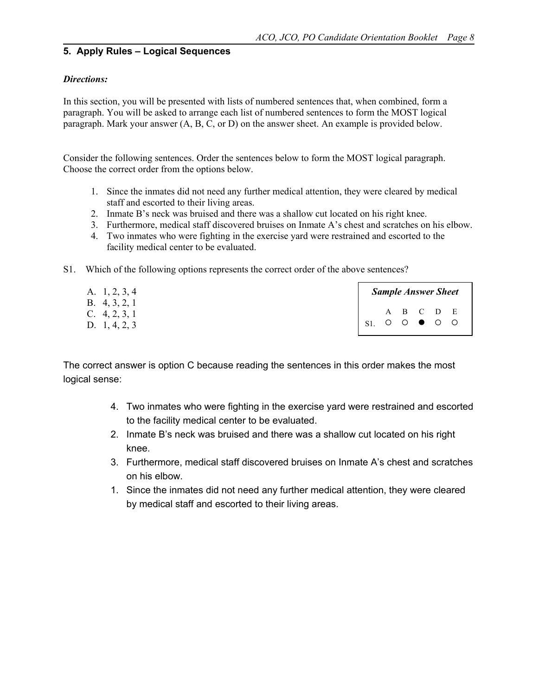## **5. Apply Rules – Logical Sequences**

#### *Directions:*

In this section, you will be presented with lists of numbered sentences that, when combined, form a paragraph. You will be asked to arrange each list of numbered sentences to form the MOST logical paragraph. Mark your answer (A, B, C, or D) on the answer sheet. An example is provided below.

Consider the following sentences. Order the sentences below to form the MOST logical paragraph. Choose the correct order from the options below.

- 1. Since the inmates did not need any further medical attention, they were cleared by medical staff and escorted to their living areas.
- 2. Inmate B's neck was bruised and there was a shallow cut located on his right knee.
- 3. Furthermore, medical staff discovered bruises on Inmate A's chest and scratches on his elbow.
- 4. Two inmates who were fighting in the exercise yard were restrained and escorted to the facility medical center to be evaluated.
- S1. Which of the following options represents the correct order of the above sentences?

| A. 1, 2, 3, 4                      |                           | <b>Sample Answer Sheet</b> |  |           |  |
|------------------------------------|---------------------------|----------------------------|--|-----------|--|
| B. $4, 3, 2, 1$<br>C. $4, 2, 3, 1$ |                           |                            |  | A B C D E |  |
| D. 1, 4, 2, 3                      | $S1.$ $O$ $O$ $O$ $O$ $O$ |                            |  |           |  |

The correct answer is option C because reading the sentences in this order makes the most logical sense:

- 4. Two inmates who were fighting in the exercise yard were restrained and escorted to the facility medical center to be evaluated.
- 2. Inmate B's neck was bruised and there was a shallow cut located on his right knee.
- 3. Furthermore, medical staff discovered bruises on Inmate A's chest and scratches on his elbow.
- 1. Since the inmates did not need any further medical attention, they were cleared by medical staff and escorted to their living areas.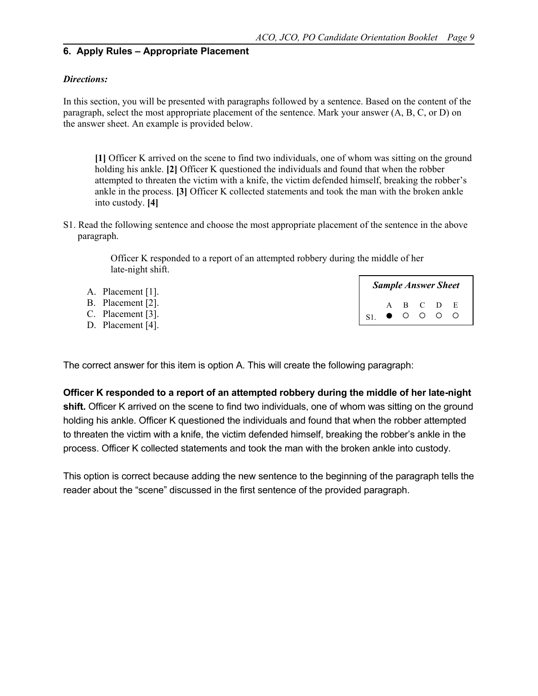### **6. Apply Rules – Appropriate Placement**

#### *Directions:*

In this section, you will be presented with paragraphs followed by a sentence. Based on the content of the paragraph, select the most appropriate placement of the sentence. Mark your answer (A, B, C, or D) on the answer sheet. An example is provided below.

**[1]** Officer K arrived on the scene to find two individuals, one of whom was sitting on the ground holding his ankle. **[2]** Officer K questioned the individuals and found that when the robber attempted to threaten the victim with a knife, the victim defended himself, breaking the robber's ankle in the process. **[3]** Officer K collected statements and took the man with the broken ankle into custody. **[4]**

S1. Read the following sentence and choose the most appropriate placement of the sentence in the above paragraph.

> Officer K responded to a report of an attempted robbery during the middle of her late-night shift.

| A. Placement $[1]$ . |                                    |  |  | <b>Sample Answer Sheet</b> |
|----------------------|------------------------------------|--|--|----------------------------|
| B. Placement [2].    |                                    |  |  |                            |
| C. Placement $[3]$ . | A B C D E<br>S1. $\bullet$ O O O O |  |  |                            |
| D. Placement $[4]$ . |                                    |  |  |                            |

The correct answer for this item is option A. This will create the following paragraph:

**Officer K responded to a report of an attempted robbery during the middle of her late-night shift.** Officer K arrived on the scene to find two individuals, one of whom was sitting on the ground holding his ankle. Officer K questioned the individuals and found that when the robber attempted to threaten the victim with a knife, the victim defended himself, breaking the robber's ankle in the process. Officer K collected statements and took the man with the broken ankle into custody.

This option is correct because adding the new sentence to the beginning of the paragraph tells the reader about the "scene" discussed in the first sentence of the provided paragraph.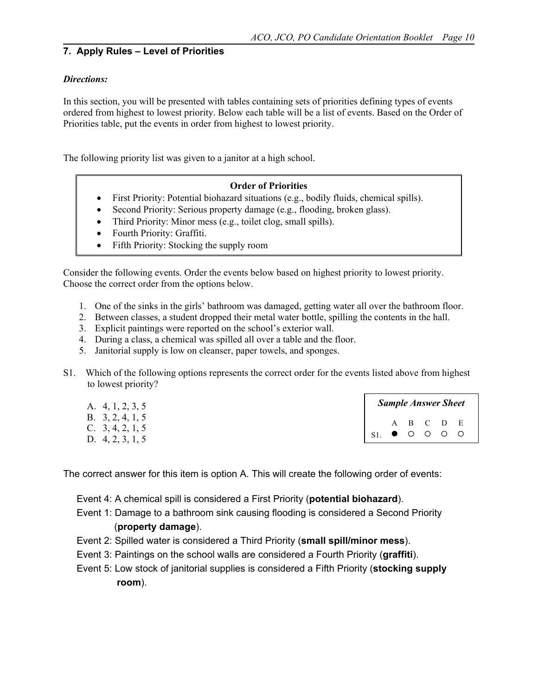## **7. Apply Rules – Level of Priorities**

#### *Directions:*

In this section, you will be presented with tables containing sets of priorities defining types of events ordered from highest to lowest priority. Below each table will be a list of events. Based on the Order of Priorities table, put the events in order from highest to lowest priority.

The following priority list was given to a janitor at a high school.

#### **Order of Priorities**

- First Priority: Potential biohazard situations (e.g., bodily fluids, chemical spills).
- Second Priority: Serious property damage (e.g., flooding, broken glass).
- Third Priority: Minor mess (e.g., toilet clog, small spills).
- Fourth Priority: Graffiti.
- Fifth Priority: Stocking the supply room

Consider the following events. Order the events below based on highest priority to lowest priority. Choose the correct order from the options below.

- 1. One of the sinks in the girls' bathroom was damaged, getting water all over the bathroom floor.
- 2. Between classes, a student dropped their metal water bottle, spilling the contents in the hall.
- 3. Explicit paintings were reported on the school's exterior wall.
- 4. During a class, a chemical was spilled all over a table and the floor.
- 5. Janitorial supply is low on cleanser, paper towels, and sponges.
- S1. Which of the following options represents the correct order for the events listed above from highest to lowest priority?

| A. 4, 1, 2, 3, 5                                               |                                                                                                  |  | <b>Sample Answer Sheet</b> |  |
|----------------------------------------------------------------|--------------------------------------------------------------------------------------------------|--|----------------------------|--|
| B. $3, 2, 4, 1, 5$<br>C. $3, 4, 2, 1, 5$<br>D. $4, 2, 3, 1, 5$ | $\begin{array}{ccccccccc}\n & & A & B & C & D & E \\ S1. & \bullet & O & O & O & O\n\end{array}$ |  |                            |  |

The correct answer for this item is option A. This will create the following order of events:

- Event 4: A chemical spill is considered a First Priority (**potential biohazard**).
- Event 1: Damage to a bathroom sink causing flooding is considered a Second Priority (**property damage**).
- Event 2: Spilled water is considered a Third Priority (**small spill/minor mess**).
- Event 3: Paintings on the school walls are considered a Fourth Priority (**graffiti**).
- Event 5: Low stock of janitorial supplies is considered a Fifth Priority (**stocking supply room**).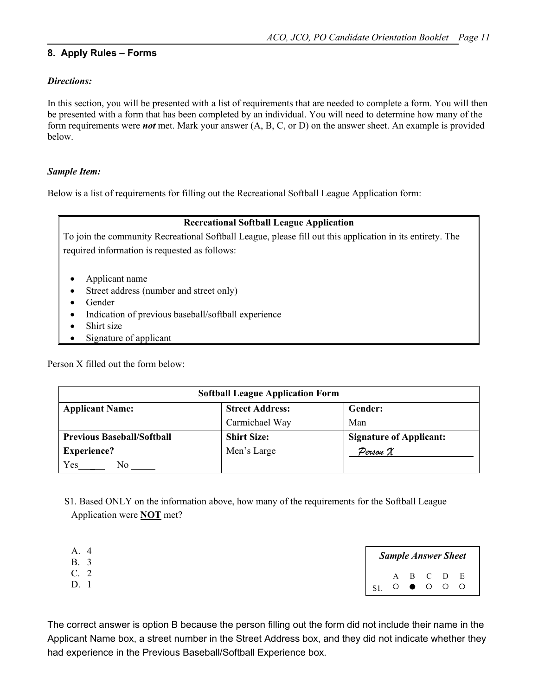## **8. Apply Rules – Forms**

### *Directions:*

In this section, you will be presented with a list of requirements that are needed to complete a form. You will then be presented with a form that has been completed by an individual. You will need to determine how many of the form requirements were *not* met. Mark your answer (A, B, C, or D) on the answer sheet. An example is provided below.

#### *Sample Item:*

Below is a list of requirements for filling out the Recreational Softball League Application form:

## **Recreational Softball League Application**

To join the community Recreational Softball League, please fill out this application in its entirety. The required information is requested as follows:

- Applicant name
- Street address (number and street only)
- Gender
- Indication of previous baseball/softball experience
- Shirt size
- Signature of applicant

Person X filled out the form below:

|                                   | <b>Softball League Application Form</b> |                                |
|-----------------------------------|-----------------------------------------|--------------------------------|
| <b>Applicant Name:</b>            | <b>Street Address:</b>                  | Gender:                        |
|                                   | Carmichael Way                          | Man                            |
| <b>Previous Baseball/Softball</b> | <b>Shirt Size:</b>                      | <b>Signature of Applicant:</b> |
| <b>Experience?</b>                | Men's Large                             | Person $\mathcal X$            |
| Yes<br>No.                        |                                         |                                |

 S1. Based ONLY on the information above, how many of the requirements for the Softball League Application were **NOT** met?

| А. |                           |  | <b>Sample Answer Sheet</b> |  |
|----|---------------------------|--|----------------------------|--|
|    |                           |  | $A$ $B$ $C$ $D$ $E$        |  |
|    | $S1.$ $O$ $O$ $O$ $O$ $O$ |  |                            |  |

The correct answer is option B because the person filling out the form did not include their name in the Applicant Name box, a street number in the Street Address box, and they did not indicate whether they had experience in the Previous Baseball/Softball Experience box.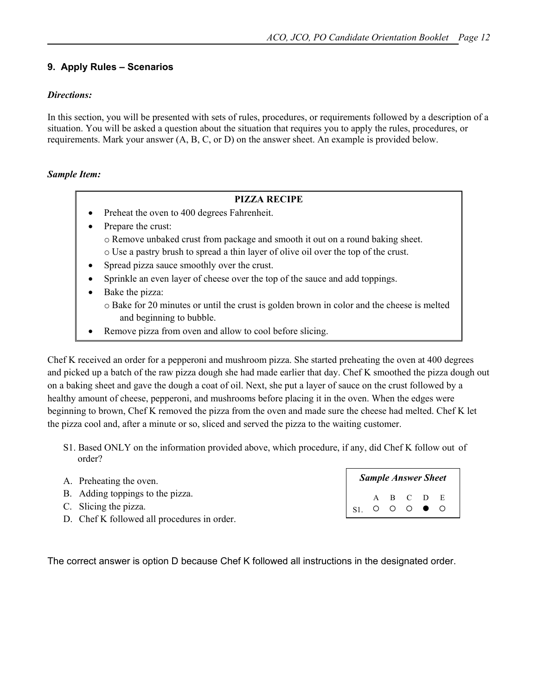## **9. Apply Rules – Scenarios**

## *Directions:*

In this section, you will be presented with sets of rules, procedures, or requirements followed by a description of a situation. You will be asked a question about the situation that requires you to apply the rules, procedures, or requirements. Mark your answer (A, B, C, or D) on the answer sheet. An example is provided below.

## *Sample Item:*

#### **PIZZA RECIPE**

- Preheat the oven to 400 degrees Fahrenheit.
- Prepare the crust:
	- o Remove unbaked crust from package and smooth it out on a round baking sheet. o Use a pastry brush to spread a thin layer of olive oil over the top of the crust.
- Spread pizza sauce smoothly over the crust.
- Sprinkle an even layer of cheese over the top of the sauce and add toppings.
- Bake the pizza:
	- o Bake for 20 minutes or until the crust is golden brown in color and the cheese is melted and beginning to bubble.
- Remove pizza from oven and allow to cool before slicing.

Chef K received an order for a pepperoni and mushroom pizza. She started preheating the oven at 400 degrees and picked up a batch of the raw pizza dough she had made earlier that day. Chef K smoothed the pizza dough out on a baking sheet and gave the dough a coat of oil. Next, she put a layer of sauce on the crust followed by a healthy amount of cheese, pepperoni, and mushrooms before placing it in the oven. When the edges were beginning to brown, Chef K removed the pizza from the oven and made sure the cheese had melted. Chef K let the pizza cool and, after a minute or so, sliced and served the pizza to the waiting customer.

S1. Based ONLY on the information provided above, which procedure, if any, did Chef K follow out of order?

| A. Preheating the oven.                     |                            |  | <b>Sample Answer Sheet</b> |  |
|---------------------------------------------|----------------------------|--|----------------------------|--|
| B. Adding toppings to the pizza.            |                            |  |                            |  |
| C. Slicing the pizza.                       | A B C D E<br>S1. O O O ● O |  |                            |  |
| D. Chef K followed all procedures in order. |                            |  |                            |  |

The correct answer is option D because Chef K followed all instructions in the designated order.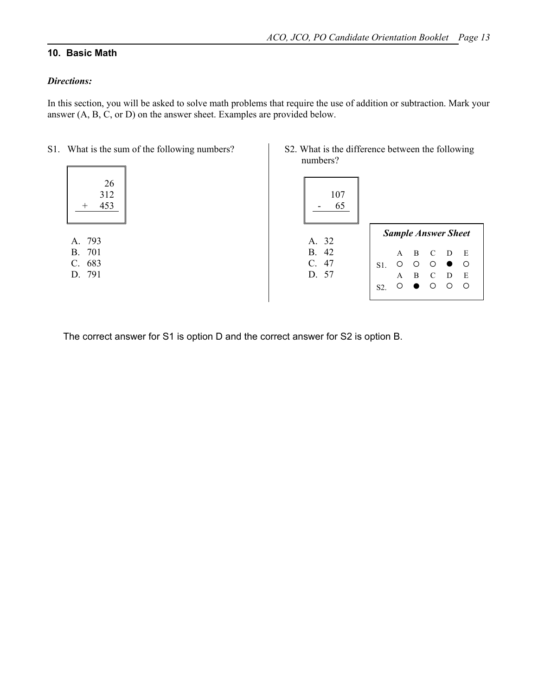## **10. Basic Math**

### *Directions:*

In this section, you will be asked to solve math problems that require the use of addition or subtraction. Mark your answer (A, B, C, or D) on the answer sheet. Examples are provided below.

|  | S1. What is the sum of the following numbers? |  |  |  |
|--|-----------------------------------------------|--|--|--|
|--|-----------------------------------------------|--|--|--|

|   | 26  |
|---|-----|
|   | 312 |
| ┿ | 453 |
|   |     |
|   |     |

A. 793 B. 701 C. 683 D. 791 S2. What is the difference between the following numbers?



|                  |   |    |               | <b>Sample Answer Sheet</b> |    |
|------------------|---|----|---------------|----------------------------|----|
|                  | A | -B | - C           | D                          | E  |
| $S1$ .           | O | Ο  | ∩             |                            | ⌒  |
|                  | A | B  | $\mathcal{C}$ | D                          | E  |
| S <sub>2</sub> . |   |    | Ω             | .)                         | Ο. |

The correct answer for S1 is option D and the correct answer for S2 is option B.